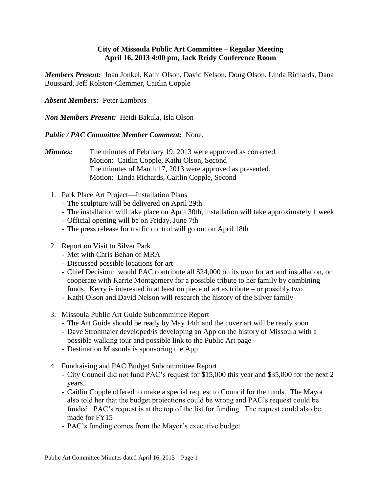# **City of Missoula Public Art Committee – Regular Meeting April 16, 2013 4:00 pm, Jack Reidy Conference Room**

*Members Present:* Joan Jonkel, Kathi Olson, David Nelson, Doug Olson, Linda Richards, Dana Boussard, Jeff Rolston-Clemmer, Caitlin Copple

# *Absent Members:* Peter Lambros

*Non Members Present:* Heidi Bakula, Isla Olson

### *Public / PAC Committee Member Comment:* None.

- *Minutes:* The minutes of February 19, 2013 were approved as corrected. Motion: Caitlin Copple, Kathi Olson, Second The minutes of March 17, 2013 were approved as presented. Motion: Linda Richards, Caitlin Copple, Second
	- 1. Park Place Art Project—Installation Plans
		- The sculpture will be delivered on April 29th
		- The installation will take place on April 30th, installation will take approximately 1 week
		- Official opening will be on Friday, June 7th
		- The press release for traffic control will go out on April 18th
	- 2. Report on Visit to Silver Park
		- Met with Chris Behan of MRA
		- Discussed possible locations for art
		- Chief Decision: would PAC contribute all \$24,000 on its own for art and installation, or cooperate with Karrie Montgomery for a possible tribute to her family by combining funds. Kerry is interested in at least on piece of art as tribute – or possibly two
		- Kathi Olson and David Nelson will research the history of the Silver family
	- 3. Missoula Public Art Guide Subcommittee Report
		- The Art Guide should be ready by May 14th and the cover art will be ready soon
		- Dave Strohmaier developed/is developing an App on the history of Missoula with a possible walking tour and possible link to the Public Art page
		- Destination Missoula is sponsoring the App
	- 4. Fundraising and PAC Budget Subcommittee Report
		- City Council did not fund PAC's request for \$15,000 this year and \$35,000 for the next 2 years.
		- Caitlin Copple offered to make a special request to Council for the funds. The Mayor also told her that the budget projections could be wrong and PAC's request could be funded. PAC's request is at the top of the list for funding. The request could also be made for FY15
		- PAC's funding comes from the Mayor's executive budget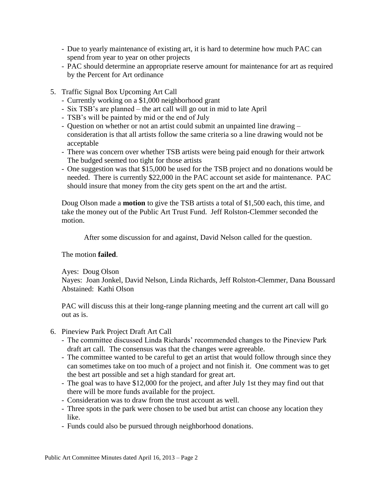- Due to yearly maintenance of existing art, it is hard to determine how much PAC can spend from year to year on other projects
- PAC should determine an appropriate reserve amount for maintenance for art as required by the Percent for Art ordinance
- 5. Traffic Signal Box Upcoming Art Call
	- Currently working on a \$1,000 neighborhood grant
	- Six TSB's are planned the art call will go out in mid to late April
	- TSB's will be painted by mid or the end of July
	- Question on whether or not an artist could submit an unpainted line drawing consideration is that all artists follow the same criteria so a line drawing would not be acceptable
	- There was concern over whether TSB artists were being paid enough for their artwork The budged seemed too tight for those artists
	- One suggestion was that \$15,000 be used for the TSB project and no donations would be needed. There is currently \$22,000 in the PAC account set aside for maintenance. PAC should insure that money from the city gets spent on the art and the artist.

Doug Olson made a **motion** to give the TSB artists a total of \$1,500 each, this time, and take the money out of the Public Art Trust Fund. Jeff Rolston-Clemmer seconded the motion.

After some discussion for and against, David Nelson called for the question.

### The motion **failed**.

### Ayes: Doug Olson

Nayes: Joan Jonkel, David Nelson, Linda Richards, Jeff Rolston-Clemmer, Dana Boussard Abstained: Kathi Olson

PAC will discuss this at their long-range planning meeting and the current art call will go out as is.

- 6. Pineview Park Project Draft Art Call
	- The committee discussed Linda Richards' recommended changes to the Pineview Park draft art call. The consensus was that the changes were agreeable.
	- The committee wanted to be careful to get an artist that would follow through since they can sometimes take on too much of a project and not finish it. One comment was to get the best art possible and set a high standard for great art.
	- The goal was to have \$12,000 for the project, and after July 1st they may find out that there will be more funds available for the project.
	- Consideration was to draw from the trust account as well.
	- Three spots in the park were chosen to be used but artist can choose any location they like.
	- Funds could also be pursued through neighborhood donations.